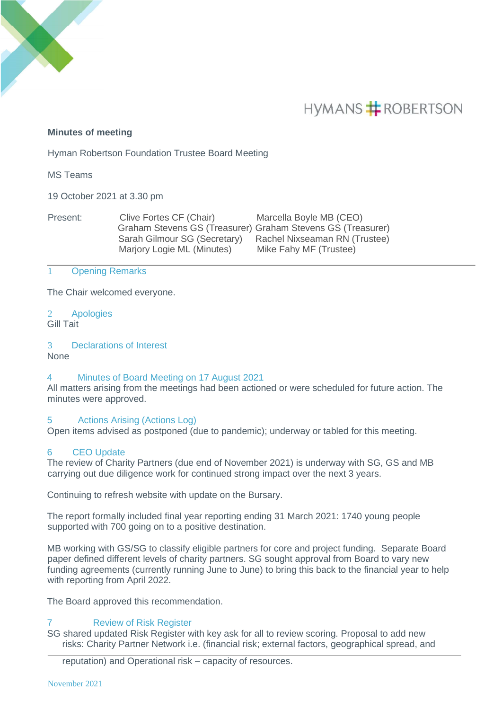

# **HYMANS # ROBERTSON**

# **Minutes of meeting**

Hyman Robertson Foundation Trustee Board Meeting

MS Teams

19 October 2021 at 3.30 pm

| Present: | Clive Fortes CF (Chair)      | Marcella Boyle MB (CEO)                                     |
|----------|------------------------------|-------------------------------------------------------------|
|          |                              | Graham Stevens GS (Treasurer) Graham Stevens GS (Treasurer) |
|          | Sarah Gilmour SG (Secretary) | Rachel Nixseaman RN (Trustee)                               |
|          | Marjory Logie ML (Minutes)   | Mike Fahy MF (Trustee)                                      |

### 1 Opening Remarks

The Chair welcomed everyone.

2 Apologies Gill Tait

#### 3 Declarations of Interest None

# 4 Minutes of Board Meeting on 17 August 2021

All matters arising from the meetings had been actioned or were scheduled for future action. The minutes were approved.

# 5 Actions Arising (Actions Log)

Open items advised as postponed (due to pandemic); underway or tabled for this meeting.

# 6 CEO Update

The review of Charity Partners (due end of November 2021) is underway with SG, GS and MB carrying out due diligence work for continued strong impact over the next 3 years.

Continuing to refresh website with update on the Bursary.

The report formally included final year reporting ending 31 March 2021: 1740 young people supported with 700 going on to a positive destination.

MB working with GS/SG to classify eligible partners for core and project funding. Separate Board paper defined different levels of charity partners. SG sought approval from Board to vary new funding agreements (currently running June to June) to bring this back to the financial year to help with reporting from April 2022.

The Board approved this recommendation.

# 7 Review of Risk Register

SG shared updated Risk Register with key ask for all to review scoring. Proposal to add new risks: Charity Partner Network i.e. (financial risk; external factors, geographical spread, and

reputation) and Operational risk – capacity of resources.